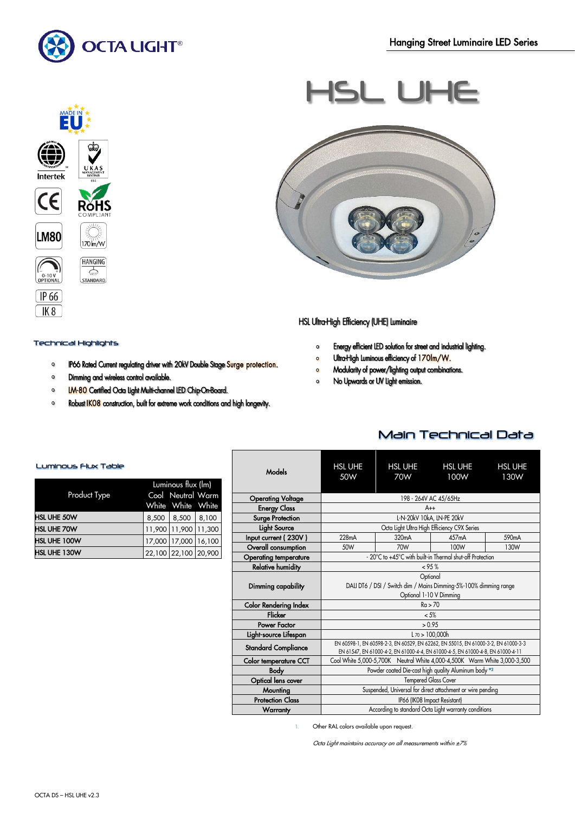

MADE IN

RŏHS

170 m/w **HANGING**  $\frac{2}{\sqrt{100}}$ 

**Intertek** 

 $\epsilon$ 

**LM80** 

 $\begin{bmatrix} 1 & 1 & 1 \\ 0 & -10 & 10 \\ 0 & 0 & 0 \end{bmatrix}$ 

 $[\mathsf{IP}\,66]$  $IK8$ 





### HSL Ultra-High Efficiency (UHE) Luminaire

- Energy efficient LED solution for street and industrial lighting.  $\bullet$
- $\bullet$ Ultra-High Luminous efficiency of 170lm/W.
- Modularity of power/lighting output combinations.  $\circ$
- No Upwards or UV Light emission.  $\Omega$

## Technical Highlights

- IP66 Rated Current regulating driver with 20kV Double Stage Surge protection.  $\circ$
- $\bullet$ Dimming and wireless control available.
- **IM-80** Certified Octa Light Multi-channel LED Chip-On-Board.  $\mathbf{o}$
- Robust IKO8 construction, built for extreme work conditions and high longevity.  $\bullet$

# Luminous Flux Table

| Product Type       | Luminous flux (lm)<br>Cool Neutral Warm<br>White White White |                      |        |
|--------------------|--------------------------------------------------------------|----------------------|--------|
| <b>HSL UHE 50W</b> | 8,500                                                        | 8,500                | 8,100  |
| <b>HSL UHE 70W</b> |                                                              | 11,900 11,900        | 11,300 |
| HSL UHE 100W       | 17,000                                                       | 17,000               | 16,100 |
| HSL UHE 130W       |                                                              | 22,100 22,100 20,900 |        |

| Models                       | <b>HSL UHE</b><br>50W                                                                                                                                                 | <b>HSL UHE</b><br>70W | <b>HSL UHE</b><br>100W | <b>HSL UHE</b><br>130W |
|------------------------------|-----------------------------------------------------------------------------------------------------------------------------------------------------------------------|-----------------------|------------------------|------------------------|
| <b>Operating Voltage</b>     |                                                                                                                                                                       |                       | 198 - 264V AC 45/65Hz  |                        |
| <b>Energy Class</b>          | $A++$                                                                                                                                                                 |                       |                        |                        |
| <b>Surge Protection</b>      | L-N-20kV 10kA, LN-PE 20kV                                                                                                                                             |                       |                        |                        |
| <b>Light Source</b>          | Octa Light Ultra High Efficiency C9X Series                                                                                                                           |                       |                        |                        |
| Input current (230V)         | 228mA                                                                                                                                                                 | 320 <sub>m</sub> A    | 457mA                  | 590 <sub>m</sub> A     |
| Overall consumption          | 50W                                                                                                                                                                   | 70W                   | 100W                   | 130W                   |
| <b>Operating temperature</b> | - 20°C to +45°C with built-in Thermal shut-off Protection                                                                                                             |                       |                        |                        |
| <b>Relative humidity</b>     | < 95%                                                                                                                                                                 |                       |                        |                        |
| Dimming capability           | Optional<br>DALI DT6 / DSI / Switch dim / Mains Dimming-5%-100% dimming range<br>Optional 1-10 V Dimming                                                              |                       |                        |                        |
| <b>Color Rendering Index</b> | Ra > 70                                                                                                                                                               |                       |                        |                        |
| Flicker                      | $< 5\%$                                                                                                                                                               |                       |                        |                        |
| Power Factor                 | > 0.95                                                                                                                                                                |                       |                        |                        |
| Light-source Lifespan        | $L \, \text{70} > 100.000$ h                                                                                                                                          |                       |                        |                        |
| <b>Standard Compliance</b>   | EN 60598-1, EN 60598-2-3, EN 60529, EN 62262, EN 55015, EN 61000-3-2, EN 61000-3-3<br>EN 61547, EN 61000-4-2, EN 61000-4-4, EN 61000-4-5, EN 61000-4-8, EN 61000-4-11 |                       |                        |                        |
| <b>Color temperature CCT</b> | Cool White 5,000-5,700K Neutral White 4,000-4,500K Warm White 3,000-3,500                                                                                             |                       |                        |                        |
| <b>Body</b>                  | Powder coated Die-cast high quality Aluminum body <sup>®2</sup>                                                                                                       |                       |                        |                        |
| Optical lens cover           | <b>Tempered Glass Cover</b>                                                                                                                                           |                       |                        |                        |
| Mounting                     | Suspended, Universal for direct attachment or wire pending                                                                                                            |                       |                        |                        |
| <b>Protection Class</b>      | IP66 (IK08 Impact Resistant)                                                                                                                                          |                       |                        |                        |
| Warranty                     | According to standard Octa Light warranty conditions                                                                                                                  |                       |                        |                        |

1. Other RAL colors available upon request.

Octa Light maintains accuracy on all measurements within ±7%

# Main Technical Data